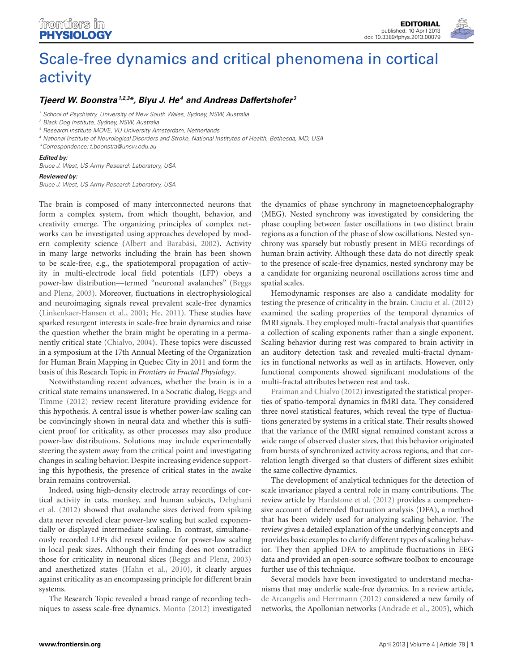# [Scale-free dynamics and critical phenomena in cortical](http://www.frontiersin.org/Fractal_Physiology/10.3389/fphys.2013.00079/full) activity

## *[Tjeerd W. Boonstra](http://www.frontiersin.org/Community/WhosWhoActivity.aspx?sname=TjeerdBoonstra&UID=19964)1,2,3\*, [Biyu J. He4](http://www.frontiersin.org/Community/WhosWhoActivity.aspx?sname=BiyuHe&UID=11347) and [Andreas Daffertshofer](http://www.frontiersin.org/Community/WhosWhoActivity.aspx?sname=AndreasDaffertshofer_1&UID=17417) <sup>3</sup>*

*<sup>1</sup> School of Psychiatry, University of New South Wales, Sydney, NSW, Australia*

*<sup>3</sup> Research Institute MOVE, VU University Amsterdam, Netherlands*

*<sup>4</sup> National Institute of Neurological Disorders and Stroke, National Institutes of Health, Bethesda, MD, USA*

*\*Correspondence: t.boonstra@unsw.edu.au*

#### *Edited by:*

*Bruce J. West, US Army Research Laboratory, USA*

#### *Reviewed by:*

*Bruce J. West, US Army Research Laboratory, USA*

The brain is composed of many interconnected neurons that form a complex system, from which thought, behavior, and creativity emerge. The organizing principles of complex networks can be investigated using approaches developed by modern complexity science [\(Albert and Barabási](#page-1-0), [2002](#page-1-0)). Activity in many large networks including the brain has been shown to be scale-free, e.g., the spatiotemporal propagation of activity in multi-electrode local field potentials (LFP) obeys a power-la[w](#page-1-1) [distribution—termed](#page-1-1) ["neuronal](#page-1-1) [avalanches"](#page-1-1) [\(](#page-1-1)Beggs and Plenz, [2003\)](#page-1-1). Moreover, fluctuations in electrophysiological and neuroimaging signals reveal prevalent scale-free dynamics [\(Linkenkaer-Hansen et al.](#page-1-2), [2001;](#page-1-2) [He](#page-1-3), [2011](#page-1-3)). These studies have sparked resurgent interests in scale-free brain dynamics and raise the question whether the brain might be operating in a permanently critical state [\(Chialvo, 2004\)](#page-1-4). These topics were discussed in a symposium at the 17th Annual Meeting of the Organization for Human Brain Mapping in Quebec City in 2011 and form the basis of this Research Topic in *Frontiers in Fractal Physiology*.

Notwithstanding recent advances, whether the brain is in a critical [state](#page-1-5) [remains](#page-1-5) [unanswered.](#page-1-5) [In](#page-1-5) [a](#page-1-5) [Socratic](#page-1-5) [dialog,](#page-1-5) Beggs and Timme [\(2012\)](#page-1-5) review recent literature providing evidence for this hypothesis. A central issue is whether power-law scaling can be convincingly shown in neural data and whether this is sufficient proof for criticality, as other processes may also produce power-law distributions. Solutions may include experimentally steering the system away from the critical point and investigating changes in scaling behavior. Despite increasing evidence supporting this hypothesis, the presence of critical states in the awake brain remains controversial.

Indeed, using high-density electrode array recordings of cortical [activity](#page-1-6) [in](#page-1-6) [cats,](#page-1-6) [monkey,](#page-1-6) [and](#page-1-6) [human](#page-1-6) [subjects,](#page-1-6) Dehghani et al. [\(2012\)](#page-1-6) showed that avalanche sizes derived from spiking data never revealed clear power-law scaling but scaled exponentially or displayed intermediate scaling. In contrast, simultaneously recorded LFPs did reveal evidence for power-law scaling in local peak sizes. Although their finding does not contradict those for criticality in neuronal slices [\(Beggs and Plenz](#page-1-1), [2003](#page-1-1)) and anesthetized states [\(Hahn et al.](#page-1-7), [2010](#page-1-7)), it clearly argues against criticality as an encompassing principle for different brain systems.

The Research Topic revealed a broad range of recording techniques to assess scale-free dynamics. [Monto](#page-1-8) [\(2012](#page-1-8)) investigated the dynamics of phase synchrony in magnetoencephalography (MEG). Nested synchrony was investigated by considering the phase coupling between faster oscillations in two distinct brain regions as a function of the phase of slow oscillations. Nested synchrony was sparsely but robustly present in MEG recordings of human brain activity. Although these data do not directly speak to the presence of scale-free dynamics, nested synchrony may be a candidate for organizing neuronal oscillations across time and spatial scales.

Hemodynamic responses are also a candidate modality for testing the presence of criticality in the brain. [Ciuciu et al.](#page-1-9) [\(2012](#page-1-9)) examined the scaling properties of the temporal dynamics of fMRI signals. They employed multi-fractal analysis that quantifies a collection of scaling exponents rather than a single exponent. Scaling behavior during rest was compared to brain activity in an auditory detection task and revealed multi-fractal dynamics in functional networks as well as in artifacts. However, only functional components showed significant modulations of the [multi-fractal attributes b](#page-1-10)etween rest and task.

Fraiman and Chialvo [\(2012\)](#page-1-10) investigated the statistical properties of spatio-temporal dynamics in fMRI data. They considered three novel statistical features, which reveal the type of fluctuations generated by systems in a critical state. Their results showed that the variance of the fMRI signal remained constant across a wide range of observed cluster sizes, that this behavior originated from bursts of synchronized activity across regions, and that correlation length diverged so that clusters of different sizes exhibit the same collective dynamics.

The development of analytical techniques for the detection of scale invariance played a central role in many contributions. The review article by [Hardstone et al.](#page-1-11) [\(2012\)](#page-1-11) provides a comprehensive account of detrended fluctuation analysis (DFA), a method that has been widely used for analyzing scaling behavior. The review gives a detailed explanation of the underlying concepts and provides basic examples to clarify different types of scaling behavior. They then applied DFA to amplitude fluctuations in EEG data and provided an open-source software toolbox to encourage further use of this technique.

Several models have been investigated to understand mechanisms that may underlie scale-free dynamics. In a review article, [de Arcangelis and Herrmann](#page-1-12) [\(2012](#page-1-12)) considered a new family of networks, the Apollonian networks [\(Andrade et al.](#page-1-13), [2005\)](#page-1-13), which

*<sup>2</sup> Black Dog Institute, Sydney, NSW, Australia*